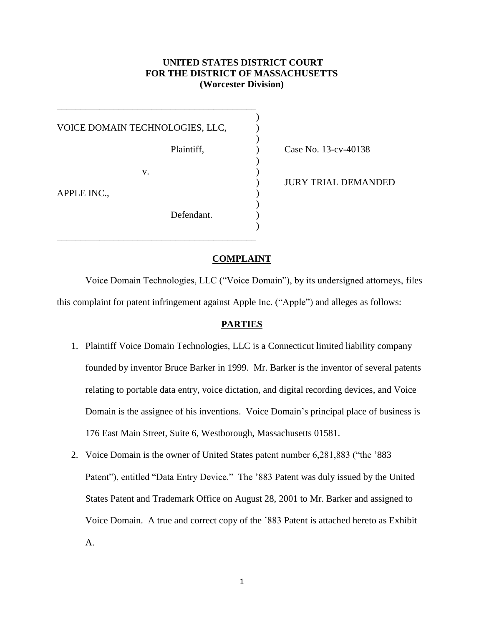# **UNITED STATES DISTRICT COURT FOR THE DISTRICT OF MASSACHUSETTS (Worcester Division)**

)

)

)

)

)

VOICE DOMAIN TECHNOLOGIES, LLC,

\_\_\_\_\_\_\_\_\_\_\_\_\_\_\_\_\_\_\_\_\_\_\_\_\_\_\_\_\_\_\_\_\_\_\_\_\_\_\_\_\_\_

 $\mathbf{v}$ .  $\qquad \qquad$  )

\_\_\_\_\_\_\_\_\_\_\_\_\_\_\_\_\_\_\_\_\_\_\_\_\_\_\_\_\_\_\_\_\_\_\_\_\_\_\_\_\_\_

APPLE INC.,

Defendant.

Plaintiff,  $\qquad \qquad$  ) Case No. 13-cv-40138

) JURY TRIAL DEMANDED

## **COMPLAINT**

Voice Domain Technologies, LLC ("Voice Domain"), by its undersigned attorneys, files this complaint for patent infringement against Apple Inc. ("Apple") and alleges as follows:

## **PARTIES**

- 1. Plaintiff Voice Domain Technologies, LLC is a Connecticut limited liability company founded by inventor Bruce Barker in 1999. Mr. Barker is the inventor of several patents relating to portable data entry, voice dictation, and digital recording devices, and Voice Domain is the assignee of his inventions. Voice Domain's principal place of business is 176 East Main Street, Suite 6, Westborough, Massachusetts 01581.
- 2. Voice Domain is the owner of United States patent number 6,281,883 ("the '883 Patent"), entitled "Data Entry Device." The '883 Patent was duly issued by the United States Patent and Trademark Office on August 28, 2001 to Mr. Barker and assigned to Voice Domain. A true and correct copy of the '883 Patent is attached hereto as Exhibit A.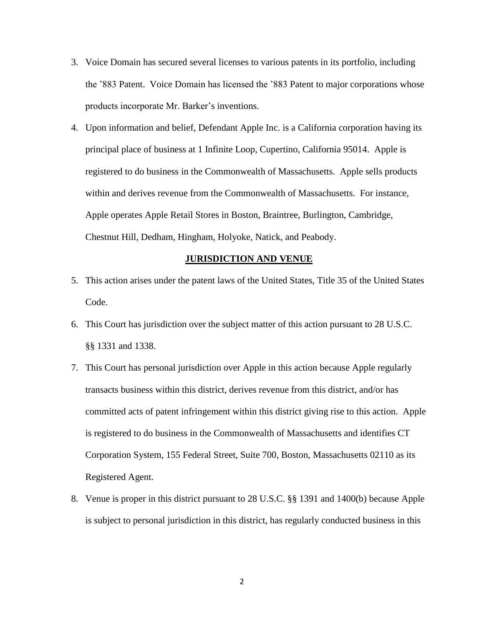- 3. Voice Domain has secured several licenses to various patents in its portfolio, including the '883 Patent. Voice Domain has licensed the '883 Patent to major corporations whose products incorporate Mr. Barker's inventions.
- 4. Upon information and belief, Defendant Apple Inc. is a California corporation having its principal place of business at 1 Infinite Loop, Cupertino, California 95014. Apple is registered to do business in the Commonwealth of Massachusetts. Apple sells products within and derives revenue from the Commonwealth of Massachusetts. For instance, Apple operates Apple Retail Stores in Boston, Braintree, Burlington, Cambridge, Chestnut Hill, Dedham, Hingham, Holyoke, Natick, and Peabody.

#### **JURISDICTION AND VENUE**

- 5. This action arises under the patent laws of the United States, Title 35 of the United States Code.
- 6. This Court has jurisdiction over the subject matter of this action pursuant to 28 U.S.C. §§ 1331 and 1338.
- 7. This Court has personal jurisdiction over Apple in this action because Apple regularly transacts business within this district, derives revenue from this district, and/or has committed acts of patent infringement within this district giving rise to this action. Apple is registered to do business in the Commonwealth of Massachusetts and identifies CT Corporation System, 155 Federal Street, Suite 700, Boston, Massachusetts 02110 as its Registered Agent.
- 8. Venue is proper in this district pursuant to 28 U.S.C. §§ 1391 and 1400(b) because Apple is subject to personal jurisdiction in this district, has regularly conducted business in this

2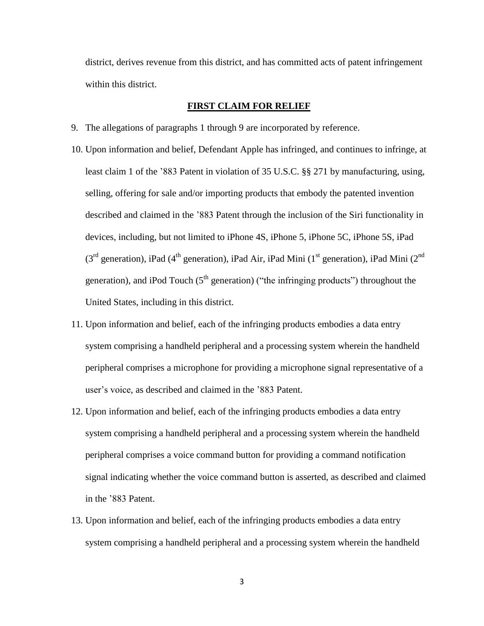district, derives revenue from this district, and has committed acts of patent infringement within this district.

#### **FIRST CLAIM FOR RELIEF**

- 9. The allegations of paragraphs 1 through 9 are incorporated by reference.
- 10. Upon information and belief, Defendant Apple has infringed, and continues to infringe, at least claim 1 of the '883 Patent in violation of 35 U.S.C. §§ 271 by manufacturing, using, selling, offering for sale and/or importing products that embody the patented invention described and claimed in the '883 Patent through the inclusion of the Siri functionality in devices, including, but not limited to iPhone 4S, iPhone 5, iPhone 5C, iPhone 5S, iPad (3<sup>rd</sup> generation), iPad (4<sup>th</sup> generation), iPad Air, iPad Mini (1<sup>st</sup> generation), iPad Mini (2<sup>nd</sup> generation), and iPod Touch ( $5<sup>th</sup>$  generation) ("the infringing products") throughout the United States, including in this district.
- 11. Upon information and belief, each of the infringing products embodies a data entry system comprising a handheld peripheral and a processing system wherein the handheld peripheral comprises a microphone for providing a microphone signal representative of a user's voice, as described and claimed in the '883 Patent.
- 12. Upon information and belief, each of the infringing products embodies a data entry system comprising a handheld peripheral and a processing system wherein the handheld peripheral comprises a voice command button for providing a command notification signal indicating whether the voice command button is asserted, as described and claimed in the '883 Patent.
- 13. Upon information and belief, each of the infringing products embodies a data entry system comprising a handheld peripheral and a processing system wherein the handheld

3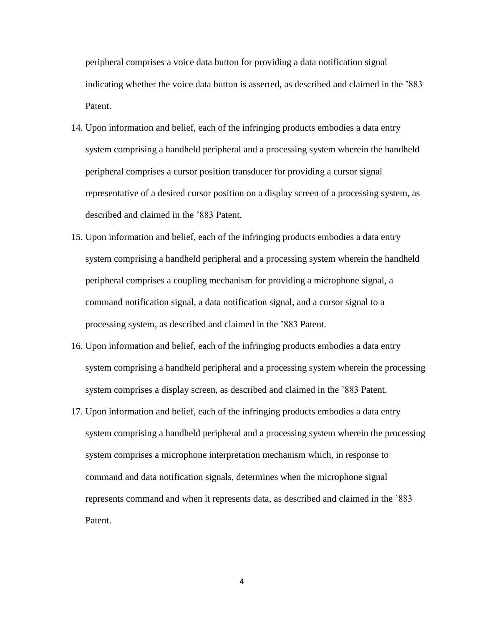peripheral comprises a voice data button for providing a data notification signal indicating whether the voice data button is asserted, as described and claimed in the '883 Patent.

- 14. Upon information and belief, each of the infringing products embodies a data entry system comprising a handheld peripheral and a processing system wherein the handheld peripheral comprises a cursor position transducer for providing a cursor signal representative of a desired cursor position on a display screen of a processing system, as described and claimed in the '883 Patent.
- 15. Upon information and belief, each of the infringing products embodies a data entry system comprising a handheld peripheral and a processing system wherein the handheld peripheral comprises a coupling mechanism for providing a microphone signal, a command notification signal, a data notification signal, and a cursor signal to a processing system, as described and claimed in the '883 Patent.
- 16. Upon information and belief, each of the infringing products embodies a data entry system comprising a handheld peripheral and a processing system wherein the processing system comprises a display screen, as described and claimed in the '883 Patent.
- 17. Upon information and belief, each of the infringing products embodies a data entry system comprising a handheld peripheral and a processing system wherein the processing system comprises a microphone interpretation mechanism which, in response to command and data notification signals, determines when the microphone signal represents command and when it represents data, as described and claimed in the '883 Patent.

4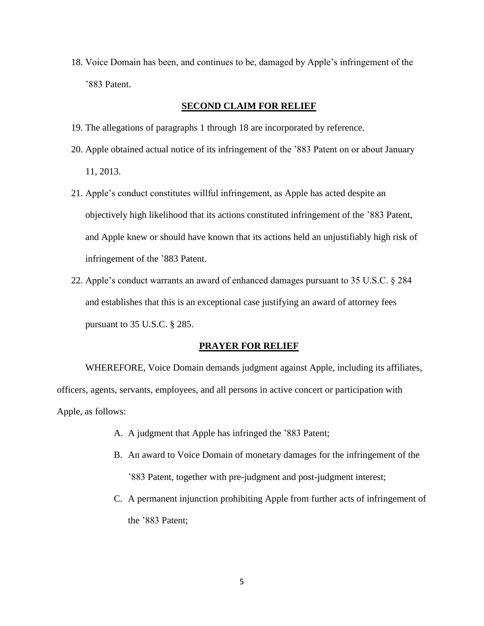18. Voice Domain has been, and continues to be, damaged by Apple's infringement of the '883 Patent.

#### **SECOND CLAIM FOR RELIEF**

- 19. The allegations of paragraphs 1 through 18 are incorporated by reference.
- 20. Apple obtained actual notice of its infringement of the '883 Patent on or about January 11, 2013.
- 21. Apple's conduct constitutes willful infringement, as Apple has acted despite an objectively high likelihood that its actions constituted infringement of the '883 Patent, and Apple knew or should have known that its actions held an unjustifiably high risk of infringement of the '883 Patent.
- 22. Apple's conduct warrants an award of enhanced damages pursuant to 35 U.S.C. § 284 and establishes that this is an exceptional case justifying an award of attorney fees pursuant to 35 U.S.C. § 285.

#### **PRAYER FOR RELIEF**

WHEREFORE, Voice Domain demands judgment against Apple, including its affiliates, officers, agents, servants, employees, and all persons in active concert or participation with Apple, as follows:

- A. A judgment that Apple has infringed the '883 Patent;
- B. An award to Voice Domain of monetary damages for the infringement of the '883 Patent, together with pre-judgment and post-judgment interest;
- C. A permanent injunction prohibiting Apple from further acts of infringement of the '883 Patent;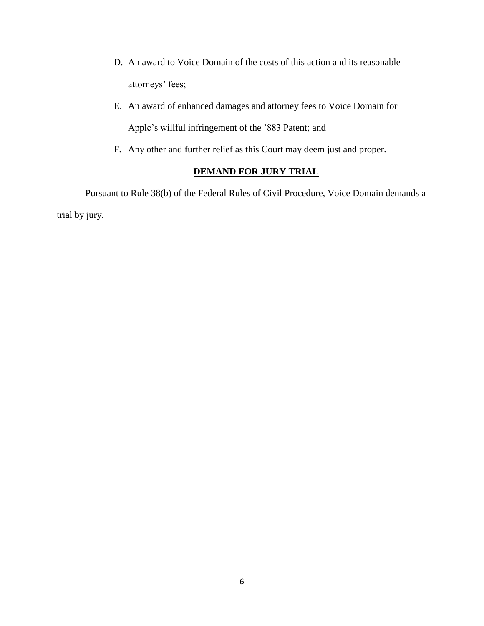- D. An award to Voice Domain of the costs of this action and its reasonable attorneys' fees;
- E. An award of enhanced damages and attorney fees to Voice Domain for Apple's willful infringement of the '883 Patent; and
- F. Any other and further relief as this Court may deem just and proper.

# **DEMAND FOR JURY TRIAL**

Pursuant to Rule 38(b) of the Federal Rules of Civil Procedure, Voice Domain demands a trial by jury.